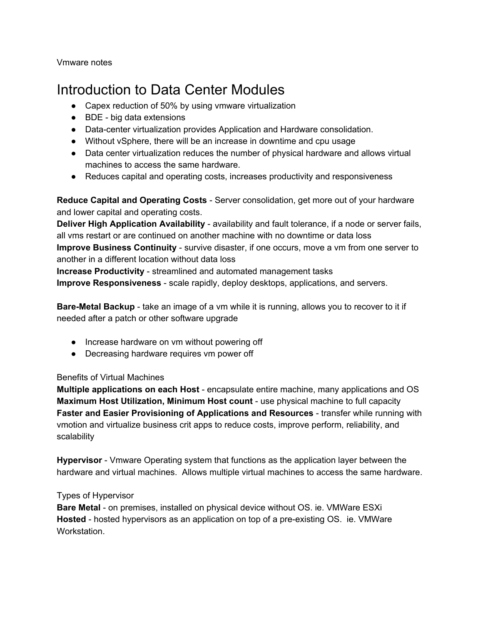Vmware notes

# Introduction to Data Center Modules

- Capex reduction of 50% by using vmware virtualization
- $\bullet$  BDE big data extensions
- Data-center virtualization provides Application and Hardware consolidation.
- Without vSphere, there will be an increase in downtime and cpu usage
- Data center virtualization reduces the number of physical hardware and allows virtual machines to access the same hardware.
- Reduces capital and operating costs, increases productivity and responsiveness

**Reduce Capital and Operating Costs** - Server consolidation, get more out of your hardware and lower capital and operating costs.

**Deliver High Application Availability** availability and fault tolerance, if a node or server fails, all vms restart or are continued on another machine with no downtime or data loss **Improve Business Continuity** - survive disaster, if one occurs, move a vm from one server to another in a different location without data loss

**Increase Productivity** - streamlined and automated management tasks **Improve Responsiveness** - scale rapidly, deploy desktops, applications, and servers.

**Bare-Metal Backup** - take an image of a vm while it is running, allows you to recover to it if needed after a patch or other software upgrade

- Increase hardware on vm without powering off
- Decreasing hardware requires vm power off

#### Benefits of Virtual Machines

**Multiple applications on each Host** - encapsulate entire machine, many applications and OS **Maximum Host Utilization, Minimum Host count** use physical machine to full capacity **Faster and Easier Provisioning of Applications and Resources** transfer while running with vmotion and virtualize business crit apps to reduce costs, improve perform, reliability, and scalability

**Hypervisor** - Vmware Operating system that functions as the application layer between the hardware and virtual machines. Allows multiple virtual machines to access the same hardware.

#### Types of Hypervisor

**Bare Metal** - on premises, installed on physical device without OS. ie. VMWare ESXi **Hosted** - hosted hypervisors as an application on top of a pre-existing OS. ie. VMWare Workstation.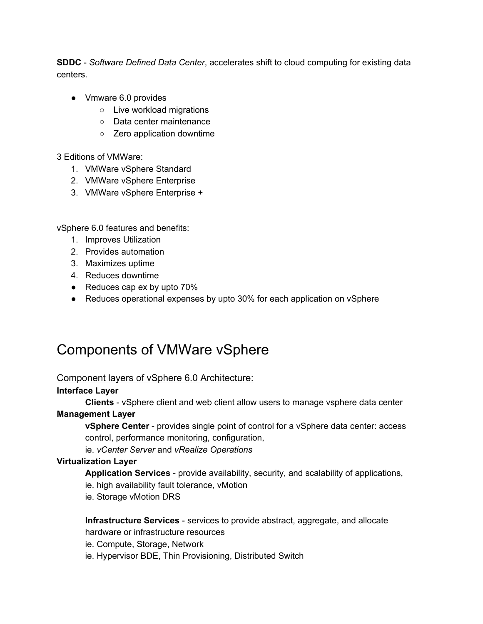**SDDC** *Software Defined Data Center*, accelerates shift to cloud computing for existing data centers.

- Vmware 6.0 provides
	- Live workload migrations
	- Data center maintenance
	- Zero application downtime

3 Editions of VMWare:

- 1. VMWare vSphere Standard
- 2. VMWare vSphere Enterprise
- 3. VMWare vSphere Enterprise +

vSphere 6.0 features and benefits:

- 1. Improves Utilization
- 2. Provides automation
- 3. Maximizes uptime
- 4. Reduces downtime
- Reduces cap ex by upto 70%
- Reduces operational expenses by upto 30% for each application on vSphere

# Components of VMWare vSphere

#### Component layers of vSphere 6.0 Architecture:

#### **Interface Layer**

**Clients** - vSphere client and web client allow users to manage vsphere data center **Management Layer**

**vSphere Center** provides single point of control for a vSphere data center: access control, performance monitoring, configuration,

ie. *vCenter Server* and *vRealize Operations*

#### **Virtualization Layer**

**Application Services** - provide availability, security, and scalability of applications,

ie. high availability fault tolerance, vMotion

ie. Storage vMotion DRS

#### **Infrastructure Services** - services to provide abstract, aggregate, and allocate

hardware or infrastructure resources

ie. Compute, Storage, Network

ie. Hypervisor BDE, Thin Provisioning, Distributed Switch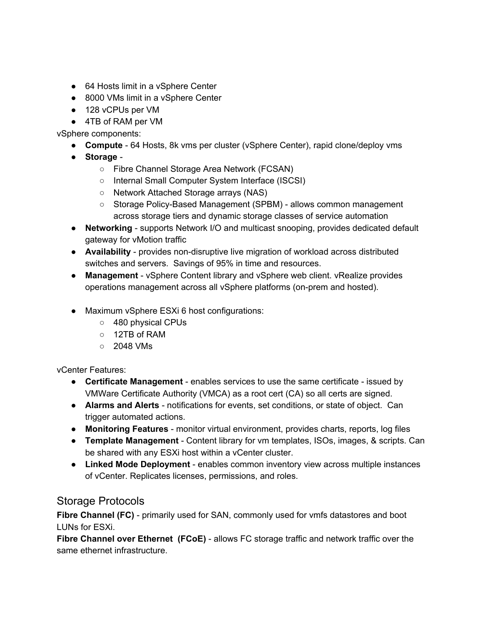- 64 Hosts limit in a vSphere Center
- 8000 VMs limit in a vSphere Center
- 128 vCPUs per VM
- 4TB of RAM per VM

vSphere components:

- **Compute** 64 Hosts, 8k vms per cluster (vSphere Center), rapid clone/deploy vms
- **Storage**
	- Fibre Channel Storage Area Network (FCSAN)
	- Internal Small Computer System Interface (ISCSI)
	- Network Attached Storage arrays (NAS)
	- Storage Policy-Based Management (SPBM) allows common management across storage tiers and dynamic storage classes of service automation
- **Networking** supports Network I/O and multicast snooping, provides dedicated default gateway for vMotion traffic
- **Availability** provides non-disruptive live migration of workload across distributed switches and servers. Savings of 95% in time and resources.
- **Management** vSphere Content library and vSphere web client. vRealize provides operations management across all vSphere platforms (on-prem and hosted).
- Maximum vSphere ESXi 6 host configurations:
	- 480 physical CPUs
	- 12TB of RAM
	- $\circ$  2048 VMs

vCenter Features:

- **Certificate Management** enables services to use the same certificate issued by VMWare Certificate Authority (VMCA) as a root cert (CA) so all certs are signed.
- **Alarms and Alerts** notifications for events, set conditions, or state of object. Can trigger automated actions.
- **Monitoring Features** monitor virtual environment, provides charts, reports, log files
- **Template Management** Content library for vm templates, ISOs, images, & scripts. Can be shared with any ESXi host within a vCenter cluster.
- **Linked Mode Deployment** enables common inventory view across multiple instances of vCenter. Replicates licenses, permissions, and roles.

### Storage Protocols

Fibre Channel (FC) - primarily used for SAN, commonly used for vmfs datastores and boot LUNs for ESXi.

**Fibre Channel over Ethernet** (FCoE) - allows FC storage traffic and network traffic over the same ethernet infrastructure.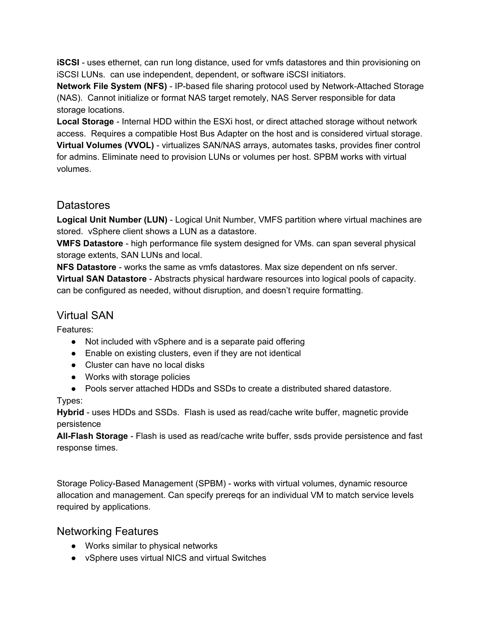**iSCSI** - uses ethernet, can run long distance, used for vmfs datastores and thin provisioning on iSCSI LUNs. can use independent, dependent, or software iSCSI initiators.

**Network File System (NFS)** - IP-based file sharing protocol used by Network-Attached Storage (NAS). Cannot initialize or format NAS target remotely, NAS Server responsible for data storage locations.

**Local Storage** - Internal HDD within the ESXi host, or direct attached storage without network access. Requires a compatible Host Bus Adapter on the host and is considered virtual storage. **Virtual Volumes (VVOL)** virtualizes SAN/NAS arrays, automates tasks, provides finer control for admins. Eliminate need to provision LUNs or volumes per host. SPBM works with virtual volumes.

# **Datastores**

**Logical Unit Number (LUN)** Logical Unit Number, VMFS partition where virtual machines are stored. vSphere client shows a LUN as a datastore.

**VMFS Datastore** high performance file system designed for VMs. can span several physical storage extents, SAN LUNs and local.

**NFS Datastore** - works the same as vmfs datastores. Max size dependent on nfs server.

**Virtual SAN Datastore** Abstracts physical hardware resources into logical pools of capacity. can be configured as needed, without disruption, and doesn't require formatting.

# Virtual SAN

Features:

- Not included with vSphere and is a separate paid offering
- Enable on existing clusters, even if they are not identical
- Cluster can have no local disks
- Works with storage policies
- Pools server attached HDDs and SSDs to create a distributed shared datastore.

#### Types:

**Hybrid** - uses HDDs and SSDs. Flash is used as read/cache write buffer, magnetic provide persistence

**AllFlash Storage** Flash is used as read/cache write buffer, ssds provide persistence and fast response times.

Storage Policy-Based Management (SPBM) - works with virtual volumes, dynamic resource allocation and management. Can specify prereqs for an individual VM to match service levels required by applications.

# Networking Features

- Works similar to physical networks
- vSphere uses virtual NICS and virtual Switches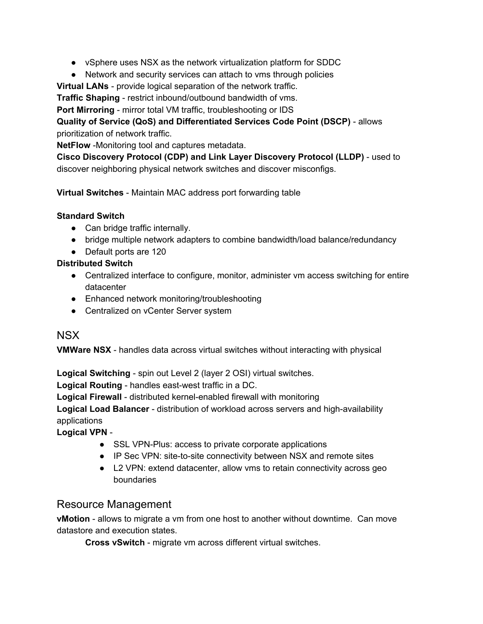- vSphere uses NSX as the network virtualization platform for SDDC
- Network and security services can attach to vms through policies

**Virtual LANs** - provide logical separation of the network traffic.

**Traffic Shaping** - restrict inbound/outbound bandwidth of vms.

**Port Mirroring** - mirror total VM traffic, troubleshooting or IDS

**Quality of Service (QoS) and Differentiated Services Code Point (DSCP)** allows prioritization of network traffic.

**NetFlow** -Monitoring tool and captures metadata.

**Cisco Discovery Protocol (CDP) and Link Layer Discovery Protocol (LLDP)** used to discover neighboring physical network switches and discover misconfigs.

**Virtual Switches** - Maintain MAC address port forwarding table

#### **Standard Switch**

- Can bridge traffic internally.
- bridge multiple network adapters to combine bandwidth/load balance/redundancy
- Default ports are 120

#### **Distributed Switch**

- Centralized interface to configure, monitor, administer vm access switching for entire datacenter
- Enhanced network monitoring/troubleshooting
- Centralized on vCenter Server system

### NSX

**VMWare NSX** - handles data across virtual switches without interacting with physical

**Logical Switching** - spin out Level 2 (layer 2 OSI) virtual switches.

**Logical Routing** - handles east-west traffic in a DC.

**Logical Firewall** - distributed kernel-enabled firewall with monitoring

**Logical Load Balancer** - distribution of workload across servers and high-availability applications

**Logical VPN**

- SSL VPN-Plus: access to private corporate applications
- IP Sec VPN: site-to-site connectivity between NSX and remote sites
- L2 VPN: extend datacenter, allow vms to retain connectivity across geo boundaries

### Resource Management

**vMotion** - allows to migrate a vm from one host to another without downtime. Can move datastore and execution states.

**Cross vSwitch** - migrate vm across different virtual switches.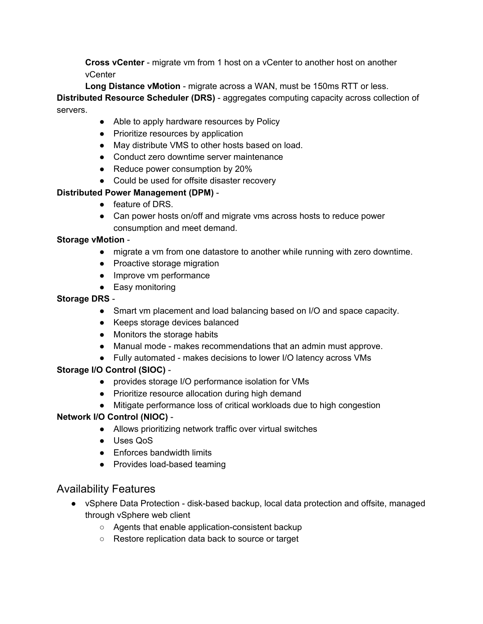**Cross vCenter** - migrate vm from 1 host on a vCenter to another host on another vCenter

Long Distance vMotion - migrate across a WAN, must be 150ms RTT or less. **Distributed Resource Scheduler (DRS)** - aggregates computing capacity across collection of servers.

- Able to apply hardware resources by Policy
- Prioritize resources by application
- May distribute VMS to other hosts based on load.
- Conduct zero downtime server maintenance
- Reduce power consumption by 20%
- Could be used for offsite disaster recovery

#### **Distributed Power Management (DPM)**

- feature of DRS.
- Can power hosts on/off and migrate vms across hosts to reduce power consumption and meet demand.

#### **Storage vMotion**

- migrate a vm from one datastore to another while running with zero downtime.
- Proactive storage migration
- Improve vm performance
- Easy monitoring

#### **Storage DRS**

- Smart vm placement and load balancing based on I/O and space capacity.
- Keeps storage devices balanced
- Monitors the storage habits
- Manual mode makes recommendations that an admin must approve.
- Fully automated makes decisions to lower I/O latency across VMs

#### **Storage I/O Control(SIOC)**

- provides storage I/O performance isolation for VMs
- Prioritize resource allocation during high demand
- Mitigate performance loss of critical workloads due to high congestion

#### **Network I/O Control (NIOC)**

- Allows prioritizing network traffic over virtual switches
- Uses QoS
- Enforces bandwidth limits
- Provides load-based teaming

### Availability Features

- vSphere Data Protection disk-based backup, local data protection and offsite, managed through vSphere web client
	- o Agents that enable application-consistent backup
	- Restore replication data back to source or target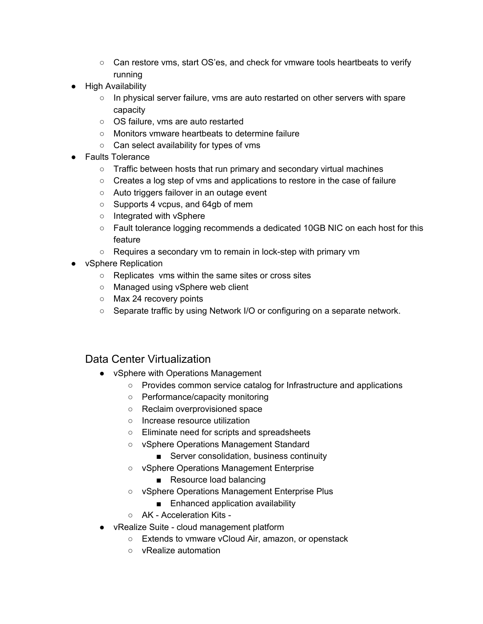- Can restore vms, start OS'es, and check for vmware tools heartbeats to verify running
- High Availability
	- In physical server failure, vms are auto restarted on other servers with spare capacity
	- OS failure, vms are auto restarted
	- Monitors vmware heartbeats to determine failure
	- Can select availability for types of vms
- Faults Tolerance
	- Traffic between hosts that run primary and secondary virtual machines
	- Creates a log step of vms and applications to restore in the case of failure
	- Auto triggers failover in an outage event
	- Supports 4 vcpus, and 64gb of mem
	- Integrated with vSphere
	- Fault tolerance logging recommends a dedicated 10GB NIC on each host for this feature
	- Requires a secondary vm to remain in lock-step with primary vm
- vSphere Replication
	- Replicates vms within the same sites or cross sites
	- Managed using vSphere web client
	- Max 24 recovery points
	- Separate traffic by using Network I/O or configuring on a separate network.

# Data Center Virtualization

- vSphere with Operations Management
	- Provides common service catalog for Infrastructure and applications
	- Performance/capacity monitoring
	- Reclaim overprovisioned space
	- Increase resource utilization
	- Eliminate need for scripts and spreadsheets
	- vSphere Operations Management Standard
		- Server consolidation, business continuity
	- vSphere Operations Management Enterprise
		- Resource load balancing
	- vSphere Operations Management Enterprise Plus
		- Enhanced application availability
	- AK Acceleration Kits -
- vRealize Suite cloud management platform
	- Extends to vmware vCloud Air, amazon, or openstack
	- vRealize automation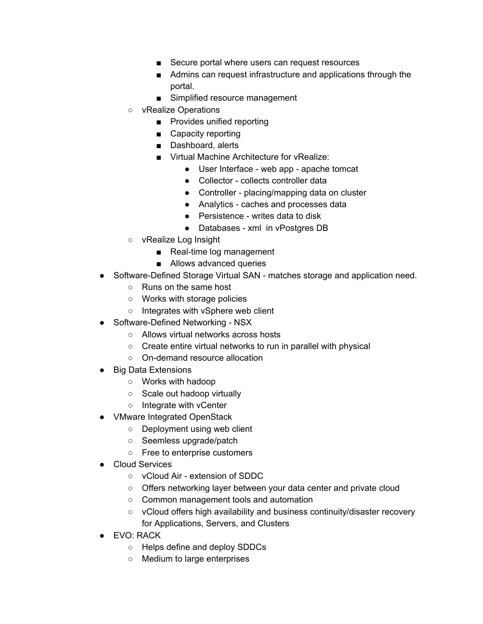- Secure portal where users can request resources
- Admins can request infrastructure and applications through the portal.
- Simplified resource management
- vRealize Operations
	- Provides unified reporting
	- Capacity reporting
	- Dashboard, alerts
	- Virtual Machine Architecture for vRealize:
		- User Interface web app apache tomcat
		- Collector collects controller data
		- Controller placing/mapping data on cluster
		- Analytics caches and processes data
		- Persistence writes data to disk
		- Databases xml in vPostgres DB
- vRealize Log Insight
	- Real-time log management
	- Allows advanced queries
- Software-Defined Storage Virtual SAN matches storage and application need.
	- Runs on the same host
	- Works with storage policies
	- Integrates with vSphere web client
- Software-Defined Networking NSX
	- Allows virtual networks across hosts
	- Create entire virtual networks to run in parallel with physical
	- On-demand resource allocation
- Big Data Extensions
	- Works with hadoop
	- Scale out hadoop virtually
	- Integrate with vCenter
- VMware Integrated OpenStack
	- Deployment using web client
	- Seemless upgrade/patch
	- Free to enterprise customers
- Cloud Services
	- vCloud Air extension of SDDC
	- Offers networking layer between your data center and private cloud
	- Common management tools and automation
	- vCloud offers high availability and business continuity/disaster recovery for Applications, Servers, and Clusters
- EVO: RACK
	- Helps define and deploy SDDCs
	- Medium to large enterprises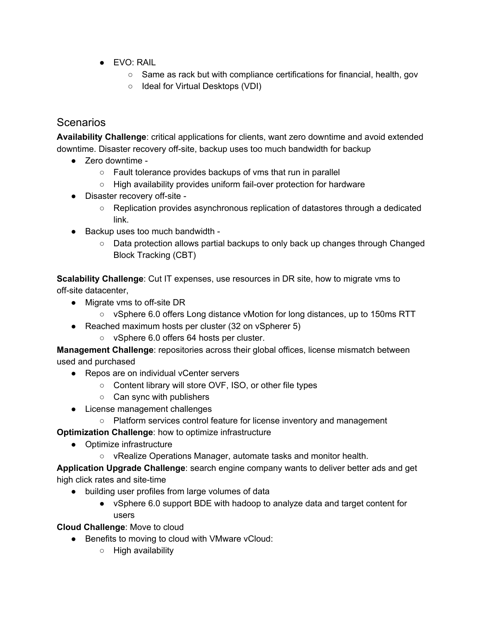- EVO: RAIL
	- Same as rack but with compliance certifications for financial, health, gov
	- Ideal for Virtual Desktops (VDI)

## Scenarios

**Availability Challenge**: critical applications for clients, want zero downtime and avoid extended downtime. Disaster recovery off-site, backup uses too much bandwidth for backup

- Zero downtime -
	- Fault tolerance provides backups of vms that run in parallel
	- High availability provides uniform fail-over protection for hardware
- Disaster recovery off-site -
	- Replication provides asynchronous replication of datastores through a dedicated link.
- Backup uses too much bandwidth -
	- Data protection allows partial backups to only back up changes through Changed Block Tracking (CBT)

**Scalability Challenge**: Cut IT expenses, use resources in DR site, how to migrate vms to off-site datacenter,

- $\bullet$  Migrate vms to off-site DR
	- vSphere 6.0 offers Long distance vMotion for long distances, up to 150ms RTT
- Reached maximum hosts per cluster (32 on vSpherer 5)
	- vSphere 6.0 offers 64 hosts per cluster.

**Management Challenge**: repositories across their global offices, license mismatch between used and purchased

- Repos are on individual vCenter servers
	- Content library will store OVF, ISO, or other file types
	- Can sync with publishers
- License management challenges
	- Platform services control feature for license inventory and management

**Optimization Challenge**: how to optimize infrastructure

- Optimize infrastructure
	- vRealize Operations Manager, automate tasks and monitor health.

**Application Upgrade Challenge: search engine company wants to deliver better ads and get** high click rates and site-time

- building user profiles from large volumes of data
	- vSphere 6.0 support BDE with hadoop to analyze data and target content for users

**Cloud Challenge**: Move to cloud

- Benefits to moving to cloud with VMware vCloud:
	- High availability